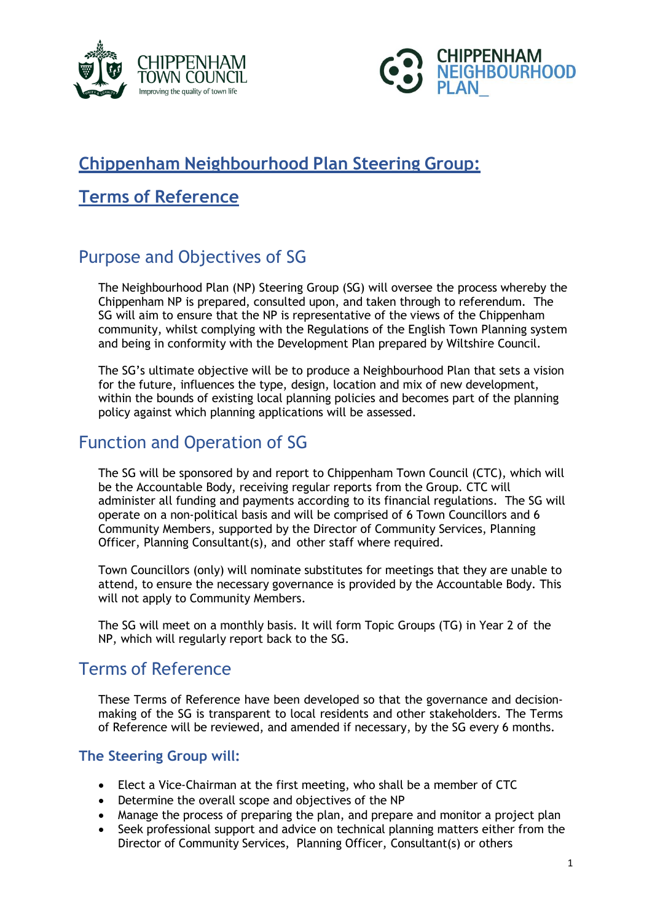



# **Chippenham Neighbourhood Plan Steering Group:**

## **Terms of Reference**

# Purpose and Objectives of SG

The Neighbourhood Plan (NP) Steering Group (SG) will oversee the process whereby the Chippenham NP is prepared, consulted upon, and taken through to referendum. The SG will aim to ensure that the NP is representative of the views of the Chippenham community, whilst complying with the Regulations of the English Town Planning system and being in conformity with the Development Plan prepared by Wiltshire Council.

The SG's ultimate objective will be to produce a Neighbourhood Plan that sets a vision for the future, influences the type, design, location and mix of new development, within the bounds of existing local planning policies and becomes part of the planning policy against which planning applications will be assessed.

## Function and Operation of SG

The SG will be sponsored by and report to Chippenham Town Council (CTC), which will be the Accountable Body, receiving regular reports from the Group. CTC will administer all funding and payments according to its financial regulations. The SG will operate on a non-political basis and will be comprised of 6 Town Councillors and 6 Community Members, supported by the Director of Community Services, Planning Officer, Planning Consultant(s), and other staff where required.

Town Councillors (only) will nominate substitutes for meetings that they are unable to attend, to ensure the necessary governance is provided by the Accountable Body. This will not apply to Community Members.

The SG will meet on a monthly basis. It will form Topic Groups (TG) in Year 2 of the NP, which will regularly report back to the SG.

## Terms of Reference

These Terms of Reference have been developed so that the governance and decisionmaking of the SG is transparent to local residents and other stakeholders. The Terms of Reference will be reviewed, and amended if necessary, by the SG every 6 months.

### **The Steering Group will:**

- Elect a Vice-Chairman at the first meeting, who shall be a member of CTC
- Determine the overall scope and objectives of the NP
- Manage the process of preparing the plan, and prepare and monitor a project plan
- Seek professional support and advice on technical planning matters either from the Director of Community Services, Planning Officer, Consultant(s) or others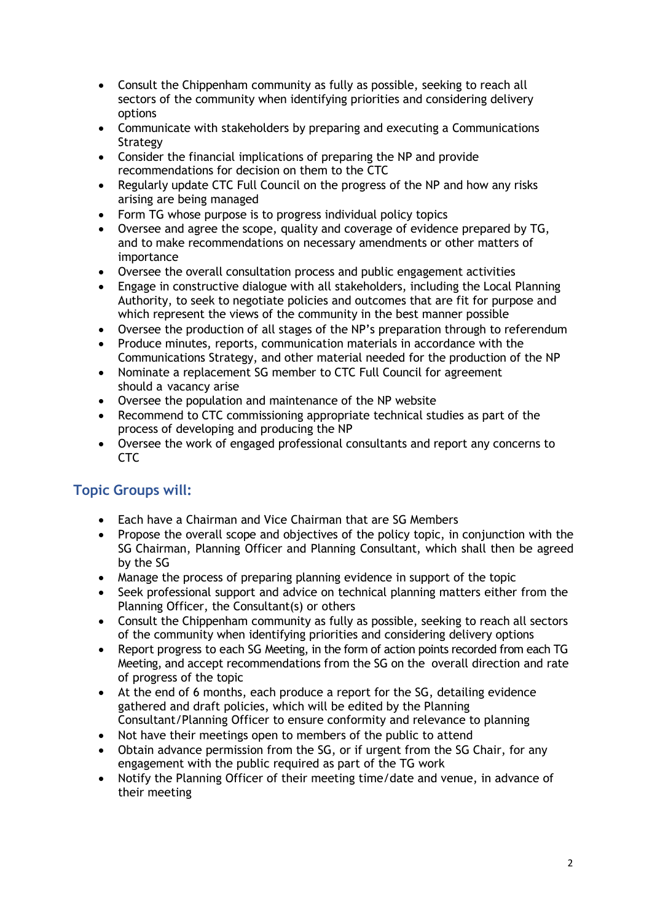- Consult the Chippenham community as fully as possible, seeking to reach all sectors of the community when identifying priorities and considering delivery options
- Communicate with stakeholders by preparing and executing a Communications Strategy
- Consider the financial implications of preparing the NP and provide recommendations for decision on them to the CTC
- Regularly update CTC Full Council on the progress of the NP and how any risks arising are being managed
- Form TG whose purpose is to progress individual policy topics
- Oversee and agree the scope, quality and coverage of evidence prepared by TG, and to make recommendations on necessary amendments or other matters of importance
- Oversee the overall consultation process and public engagement activities
- Engage in constructive dialogue with all stakeholders, including the Local Planning Authority, to seek to negotiate policies and outcomes that are fit for purpose and which represent the views of the community in the best manner possible
- Oversee the production of all stages of the NP's preparation through to referendum
- Produce minutes, reports, communication materials in accordance with the Communications Strategy, and other material needed for the production of the NP
- Nominate a replacement SG member to CTC Full Council for agreement should a vacancy arise
- Oversee the population and maintenance of the NP website
- Recommend to CTC commissioning appropriate technical studies as part of the process of developing and producing the NP
- Oversee the work of engaged professional consultants and report any concerns to CTC

### **Topic Groups will:**

- Each have a Chairman and Vice Chairman that are SG Members
- Propose the overall scope and objectives of the policy topic, in conjunction with the SG Chairman, Planning Officer and Planning Consultant, which shall then be agreed by the SG
- Manage the process of preparing planning evidence in support of the topic
- Seek professional support and advice on technical planning matters either from the Planning Officer, the Consultant(s) or others
- Consult the Chippenham community as fully as possible, seeking to reach all sectors of the community when identifying priorities and considering delivery options
- Report progress to each SG Meeting, in the form of action points recorded from each TG Meeting, and accept recommendations from the SG on the overall direction and rate of progress of the topic
- At the end of 6 months, each produce a report for the SG, detailing evidence gathered and draft policies, which will be edited by the Planning Consultant/Planning Officer to ensure conformity and relevance to planning
- Not have their meetings open to members of the public to attend
- Obtain advance permission from the SG, or if urgent from the SG Chair, for any engagement with the public required as part of the TG work
- Notify the Planning Officer of their meeting time/date and venue, in advance of their meeting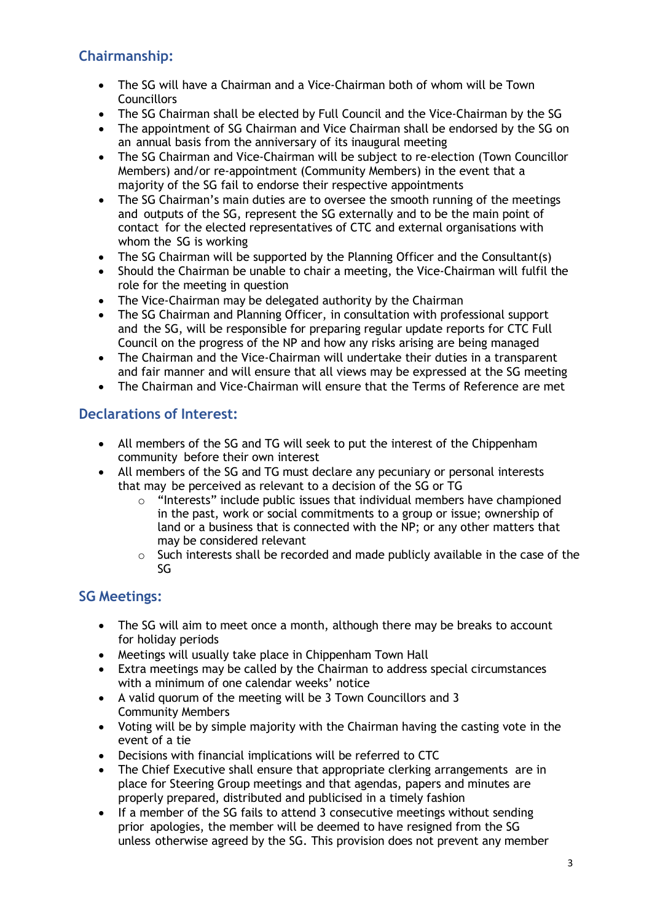### **Chairmanship:**

- The SG will have a Chairman and a Vice-Chairman both of whom will be Town **Councillors**
- The SG Chairman shall be elected by Full Council and the Vice-Chairman by the SG
- The appointment of SG Chairman and Vice Chairman shall be endorsed by the SG on an annual basis from the anniversary of its inaugural meeting
- The SG Chairman and Vice-Chairman will be subject to re-election (Town Councillor Members) and/or re-appointment (Community Members) in the event that a majority of the SG fail to endorse their respective appointments
- The SG Chairman's main duties are to oversee the smooth running of the meetings and outputs of the SG, represent the SG externally and to be the main point of contact for the elected representatives of CTC and external organisations with whom the SG is working
- The SG Chairman will be supported by the Planning Officer and the Consultant(s)
- Should the Chairman be unable to chair a meeting, the Vice-Chairman will fulfil the role for the meeting in question
- The Vice-Chairman may be delegated authority by the Chairman
- The SG Chairman and Planning Officer, in consultation with professional support and the SG, will be responsible for preparing regular update reports for CTC Full Council on the progress of the NP and how any risks arising are being managed
- The Chairman and the Vice-Chairman will undertake their duties in a transparent and fair manner and will ensure that all views may be expressed at the SG meeting
- The Chairman and Vice-Chairman will ensure that the Terms of Reference are met

### **Declarations of Interest:**

- All members of the SG and TG will seek to put the interest of the Chippenham community before their own interest
- All members of the SG and TG must declare any pecuniary or personal interests that may be perceived as relevant to a decision of the SG or TG
	- $\circ$  "Interests" include public issues that individual members have championed in the past, work or social commitments to a group or issue; ownership of land or a business that is connected with the NP; or any other matters that may be considered relevant
	- o Such interests shall be recorded and made publicly available in the case of the SG

#### **SG Meetings:**

- The SG will aim to meet once a month, although there may be breaks to account for holiday periods
- Meetings will usually take place in Chippenham Town Hall
- Extra meetings may be called by the Chairman to address special circumstances with a minimum of one calendar weeks' notice
- A valid quorum of the meeting will be 3 Town Councillors and 3 Community Members
- Voting will be by simple majority with the Chairman having the casting vote in the event of a tie
- Decisions with financial implications will be referred to CTC
- The Chief Executive shall ensure that appropriate clerking arrangements are in place for Steering Group meetings and that agendas, papers and minutes are properly prepared, distributed and publicised in a timely fashion
- If a member of the SG fails to attend 3 consecutive meetings without sending prior apologies, the member will be deemed to have resigned from the SG unless otherwise agreed by the SG. This provision does not prevent any member